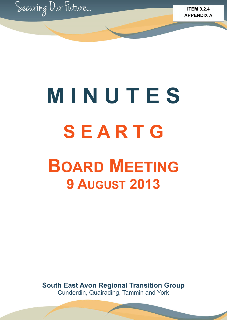

# **M I N U T E S S E A R T G BOARD MEETING 9 AUGUST 2013**

**South East Avon Regional Transition Group**  Cunderdin, Quairading, Tammin and York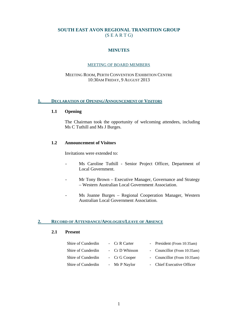# **SOUTH EAST AVON REGIONAL TRANSITION GROUP**   $(S E A R T G)$

# **MINUTES**

#### MEETING OF BOARD MEMBERS

#### MEETING ROOM, PERTH CONVENTION EXHIBITION CENTRE 10:30AM FRIDAY, 9 AUGUST 2013

#### **1. DECLARATION OF OPENING/ANNOUNCEMENT OF VISITORS**

#### **1.1 Opening**

 The Chairman took the opportunity of welcoming attendees, including Ms C Tuthill and Ms J Burges.

#### **1.2 Announcement of Visitors**

Invitations were extended to:

- Ms Caroline Tuthill Senior Project Officer, Department of Local Government.
- Mr Tony Brown Executive Manager, Governance and Strategy – Western Australian Local Government Association.
- Ms Joanne Burges Regional Cooperation Manager, Western Australian Local Government Association.

#### **2. RECORD OF ATTENDANCE/APOLOGIES/LEAVE OF ABSENCE**

#### **2.1 Present**

| Shire of Cunderdin | - Cr R Carter  | - President (From 10:35am)  |
|--------------------|----------------|-----------------------------|
| Shire of Cunderdin | - Cr D Whisson | - Councillor (From 10:35am) |
| Shire of Cunderdin | - Cr G Cooper  | - Councillor (From 10:35am) |
| Shire of Cunderdin | - Mr P Naylor  | - Chief Executive Officer   |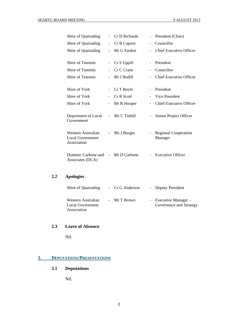| Shire of Quairading                                          |                          | Cr D Richards | $\qquad \qquad -$        | President (Chair)                      |
|--------------------------------------------------------------|--------------------------|---------------|--------------------------|----------------------------------------|
| Shire of Quairading                                          | $\overline{\phantom{0}}$ | Cr B Caporn   | $\overline{\phantom{a}}$ | Councillor                             |
| Shire of Quairading                                          |                          | Mr G Fardon   |                          | <b>Chief Executive Officer</b>         |
|                                                              |                          |               |                          |                                        |
| Shire of Tammin                                              | $\overline{\phantom{a}}$ | Cr S Uppill   | $\overline{\phantom{a}}$ | President                              |
| Shire of Tammin                                              |                          | Cr C Crane    | $\overline{\phantom{a}}$ | Councillor                             |
| Shire of Tammin                                              |                          | Mr I Bodill   |                          | <b>Chief Executive Officer</b>         |
|                                                              |                          |               |                          |                                        |
| Shire of York                                                | $\overline{\phantom{a}}$ | Cr T Boyle    | $\overline{\phantom{a}}$ | President                              |
| Shire of York                                                |                          | Cr R Scott    | $\overline{\phantom{0}}$ | Vice President                         |
| Shire of York                                                | $\overline{\phantom{a}}$ | Mr R Hooper   | $\overline{\phantom{0}}$ | <b>Chief Executive Officer</b>         |
| Department of Local<br>Government                            | $\blacksquare$           | Ms C Tuthill  | $\overline{\phantom{0}}$ | Senior Project Officer                 |
| Western Australian<br><b>Local Government</b><br>Association | $\overline{\phantom{a}}$ | Ms J Burges   |                          | <b>Regional Cooperation</b><br>Manager |
| Dominic Carbone and<br>Associates (DCA)                      | $\sim$                   | Mr D Carbone  |                          | <b>Executive Officer</b>               |

# **2.2 Apologies**

| Shire of Quairading                                   | - Cr G Anderson | - Deputy President                                 |
|-------------------------------------------------------|-----------------|----------------------------------------------------|
| Western Australian<br>Local Government<br>Association | - Mr T Brown    | - Executive Manager $-$<br>Governance and Strategy |

# **2.3 Leave of Absence**

Nil.

# **3. DEPUTATIONS/PRESENTATIONS**

# **3.1 Deputations**

Nil.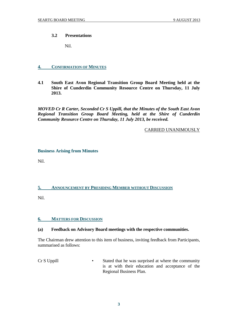#### **3.2 Presentations**

Nil.

## **4. CONFIRMATION OF MINUTES**

**4.1 South East Avon Regional Transition Group Board Meeting held at the Shire of Cunderdin Community Resource Centre on Thursday, 11 July 2013.** 

*MOVED Cr R Carter, Seconded Cr S Uppill, that the Minutes of the South East Avon Regional Transition Group Board Meeting, held at the Shire of Cunderdin Community Resource Centre on Thursday, 11 July 2013, be received.* 

#### CARRIED UNANIMOUSLY

#### **Business Arising from Minutes**

Nil.

#### **5. ANNOUNCEMENT BY PRESIDING MEMBER WITHOUT DISCUSSION**

Nil.

#### **6. MATTERS FOR DISCUSSION**

#### **(a) Feedback on Advisory Board meetings with the respective communities.**

The Chairman drew attention to this item of business, inviting feedback from Participants, summarised as follows:

Cr S Uppill • Stated that he was surprised at where the community is at with their education and acceptance of the Regional Business Plan.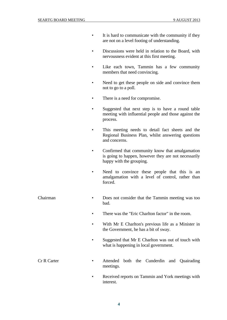- It is hard to communicate with the community if they are not on a level footing of understanding.
- Discussions were held in relation to the Board, with nervousness evident at this first meeting.
- Like each town, Tammin has a few community members that need convincing.
- Need to get these people on side and convince them not to go to a poll.
- There is a need for compromise.
- Suggested that next step is to have a round table meeting with influential people and those against the process.
- This meeting needs to detail fact sheets and the Regional Business Plan, whilst answering questions and concerns.
- Confirmed that community know that amalgamation is going to happen, however they are not necessarily happy with the grouping.
- Need to convince these people that this is an amalgamation with a level of control, rather than forced.

#### Chairman • Does not consider that the Tammin meeting was too bad.

- There was the "Eric Charlton factor" in the room.
- With Mr E Charlton's previous life as a Minister in the Government, he has a bit of sway.
- Suggested that Mr E Charlton was out of touch with what is happening in local government.
- Cr R Carter Attended both the Cunderdin and Quairading meetings.
	- Received reports on Tammin and York meetings with interest.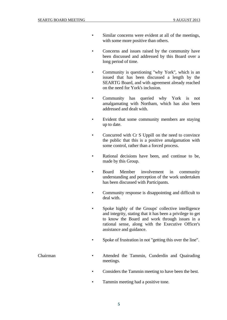- Similar concerns were evident at all of the meetings, with some more positive than others.
- Concerns and issues raised by the community have been discussed and addressed by this Board over a long period of time.
- Community is questioning "why York", which is an issued that has been discussed a length by the SEARTG Board, and with agreement already reached on the need for York's inclusion.
- Community has queried why York is not amalgamating with Northam, which has also been addressed and dealt with.
- Evident that some community members are staying up to date.
- Concurred with Cr S Uppill on the need to convince the public that this is a positive amalgamation with some control, rather than a forced process.
- Rational decisions have been, and continue to be, made by this Group.
- Board Member involvement in community understanding and perception of the work undertaken has been discussed with Participants.
- Community response is disappointing and difficult to deal with.
- Spoke highly of the Groups' collective intelligence and integrity, stating that it has been a privilege to get to know the Board and work through issues in a rational sense, along with the Executive Officer's assistance and guidance.
- Spoke of frustration in not "getting this over the line".
- Chairman Attended the Tammin, Cunderdin and Quairading meetings.
	- Considers the Tammin meeting to have been the best.
	- Tammin meeting had a positive tone.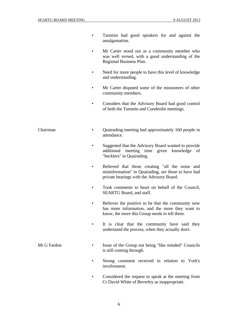- Tammin had good speakers for and against the amalgamation.
- Mr Carter stood out as a community member who was well versed, with a good understanding of the Regional Business Plan.
- Need for more people to have this level of knowledge and understanding.
- Mr Carter disputed some of the misnomers of other community members.
- Considers that the Advisory Board had good control of both the Tammin and Cunderdin meetings.
- Chairman Quairading meeting had approximately 160 people in attendance.
	- Suggested that the Advisory Board wanted to provide additional meeting time given knowledge of "hecklers" in Quairading.
	- Believed that those creating "all the noise and misinformation" in Quairading, are those to have had private hearings with the Advisory Board.
	- Took comments to heart on behalf of the Council, SEARTG Board, and staff.
	- Believes the positive to be that the community now has more information, and the more they want to know, the more this Group needs to tell them.
	- It is clear that the community have said they understand the process, when they actually don't.
- Mr G Fardon Issue of the Group not being "like minded" Councils is still coming through.
	- Strong comment received in relation to York's involvement.
	- Considered the request to speak at the meeting from Cr David White of Beverley as inappropriate.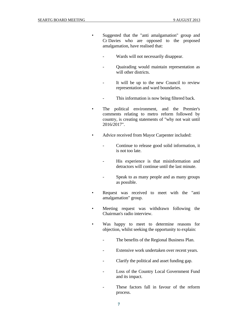- Suggested that the "anti amalgamation" group and Cr Davies who are opposed to the proposed amalgamation, have realised that:
	- Wards will not necessarily disappear.
	- Quairading would maintain representation as will other districts.
	- It will be up to the new Council to review representation and ward boundaries.
	- This information is now being filtered back.
- The political environment, and the Premier's comments relating to metro reform followed by country, is creating statements of "why not wait until 2016/2017".
- Advice received from Mayor Carpenter included:
	- Continue to release good solid information, it is not too late.
	- His experience is that misinformation and detractors will continue until the last minute.
	- Speak to as many people and as many groups as possible.
- Request was received to meet with the "anti amalgamation" group.
- Meeting request was withdrawn following the Chairman's radio interview.
- Was happy to meet to determine reasons for objection, whilst seeking the opportunity to explain:
	- The benefits of the Regional Business Plan.
	- Extensive work undertaken over recent years.
	- Clarify the political and asset funding gap.
	- Loss of the Country Local Government Fund and its impact.
	- These factors fall in favour of the reform process.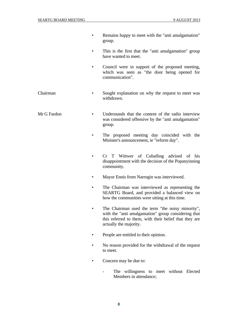- Remains happy to meet with the "anti amalgamation" group.
- This is the first that the "anti amalgamation" group have wanted to meet.
- Council were in support of the proposed meeting, which was seen as "the door being opened for communication".
- Chairman Sought explanation on why the request to meet was withdrawn.
- Mr G Fardon Understands that the content of the radio interview was considered offensive by the "anti amalgamation" group.
	- The proposed meeting day coincided with the Minister's announcement, ie "reform day".
	- Cr T Wittwer of Cuballing advised of his disappointment with the decision of the Popanyinning community.
	- Mayor Ennis from Narrogin was interviewed.
	- The Chairman was interviewed as representing the SEARTG Board, and provided a balanced view on how the communities were sitting at this time.
	- The Chairman used the term "the noisy minority", with the "anti amalgamation" group considering that this referred to them, with their belief that they are actually the majority.
	- People are entitled to their opinion.
	- No reason provided for the withdrawal of the request to meet.
	- Concern may be due to:
		- The willingness to meet without Elected Members in attendance;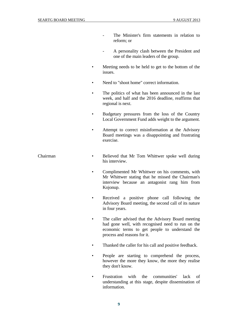- The Minister's firm statements in relation to reform; or
- A personality clash between the President and one of the main leaders of the group.
- Meeting needs to be held to get to the bottom of the issues.
- Need to "shoot home" correct information.
- The politics of what has been announced in the last week, and half and the 2016 deadline, reaffirms that regional is next.
- Budgetary pressures from the loss of the Country Local Government Fund adds weight to the argument.
- Attempt to correct misinformation at the Advisory Board meetings was a disappointing and frustrating exercise.
- Chairman Believed that Mr Tom Whittwer spoke well during his interview.
	- Complimented Mr Whittwer on his comments, with Mr Whittwer stating that he missed the Chairman's interview because an antagonist rang him from Kojonup.
	- Received a positive phone call following the Advisory Board meeting, the second call of its nature in four years.
	- The caller advised that the Advisory Board meeting had gone well, with recognised need to run on the economic terms to get people to understand the process and reasons for it.
	- Thanked the caller for his call and positive feedback.
	- People are starting to comprehend the process, however the more they know, the more they realise they don't know.
	- Frustration with the communities' lack of understanding at this stage, despite dissemination of information.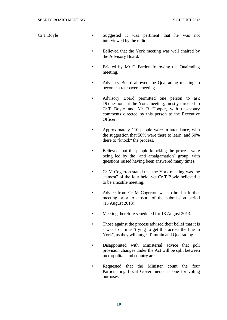Cr T Boyle • Suggested it was pertinent that he was not interviewed by the radio.

- Believed that the York meeting was well chaired by the Advisory Board.
- Briefed by Mr G Fardon following the Quairading meeting.
- Advisory Board allowed the Quairading meeting to become a ratepayers meeting.
- Advisory Board permitted one person to ask 19 questions at the York meeting, mostly directed to Cr T Boyle and Mr R Hooper, with unsavoury comments directed by this person to the Executive Officer.
- Approximately 110 people were in attendance, with the suggestion that 50% were there to learn, and 50% there to "knock" the process.
- Believed that the people knocking the process were being led by the "anti amalgamation" group, with questions raised having been answered many times.
- Cr M Cogerton stated that the York meeting was the "tamest" of the four held, yet Cr T Boyle believed it to be a hostile meeting.
- Advice from Cr M Cogerton was to hold a further meeting prior to closure of the submission period (15 August 2013).
- Meeting therefore scheduled for 13 August 2013.
- Those against the process advised their belief that it is a waste of time "trying to get this across the line in York", as they will target Tammin and Quairading.
- Disappointed with Ministerial advice that poll provision changes under the Act will be split between metropolitan and country areas.
- Requested that the Minister count the four Participating Local Governments as one for voting purposes.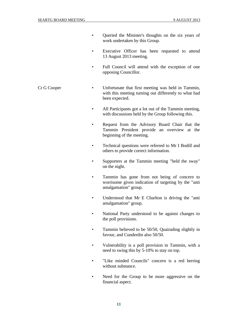- Queried the Minister's thoughts on the six years of work undertaken by this Group.
- Executive Officer has been requested to attend 13 August 2013 meeting.
- Full Council will attend with the exception of one opposing Councillor.
- Cr G Cooper Unfortunate that first meeting was held in Tammin, with this meeting turning out differently to what had been expected.
	- All Participants got a lot out of the Tammin meeting, with discussions held by the Group following this.
	- Request from the Advisory Board Chair that the Tammin President provide an overview at the beginning of the meeting.
	- Technical questions were referred to Mr I Bodill and others to provide correct information.
	- Supporters at the Tammin meeting "held the sway" on the night.
	- Tammin has gone from not being of concern to worrisome given indication of targeting by the "anti amalgamation" group.
	- Understood that Mr E Charlton is driving the "anti amalgamation" group.
	- National Party understood to be against changes to the poll provisions.
	- Tammin believed to be 50/50, Quairading slightly in favour, and Cunderdin also 50/50.
	- Vulnerability is a poll provision in Tammin, with a need to swing this by 5-10% to stay on top.
	- "Like minded Councils" concern is a red herring without substance.
	- Need for the Group to be more aggressive on the financial aspect.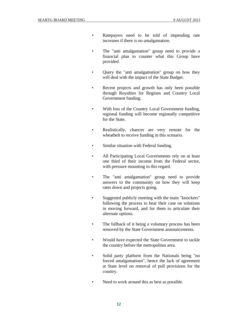- Ratepayers need to be told of impending rate increases if there is no amalgamation.
- The "anti amalgamation" group need to provide a financial plan to counter what this Group have provided.
- Query the "anti amalgamation" group on how they will deal with the impact of the State Budget.
- Recent projects and growth has only been possible through Royalties for Regions and Country Local Government funding.
- With loss of the Country Local Government funding, regional funding will become regionally competitive for the State.
- Realistically, chances are very remote for the wheatbelt to receive funding in this scenario.
- Similar situation with Federal funding.
- All Participating Local Governments rely on at least one third of their income from the Federal sector, with pressure mounting in this regard.
- The "anti amalgamation" group need to provide answers to the community on how they will keep rates down and projects going.
- Suggested publicly meeting with the main "knockers" following the process to hear their case on solutions in moving forward, and for them to articulate their alternate options.
- The fallback of it being a voluntary process has been removed by the State Government announcements.
- Would have expected the State Government to tackle the country before the metropolitan area.
- Solid party platform from the Nationals being "no forced amalgamations", hence the lack of agreement at State level on removal of poll provisions for the country.
- Need to work around this as best as possible.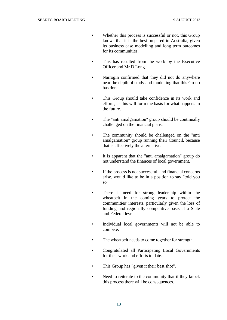- Whether this process is successful or not, this Group knows that it is the best prepared in Australia, given its business case modelling and long term outcomes for its communities.
- This has resulted from the work by the Executive Officer and Mr D Long.
- Narrogin confirmed that they did not do anywhere near the depth of study and modelling that this Group has done.
- This Group should take confidence in its work and efforts, as this will form the basis for what happens in the future.
- The "anti amalgamation" group should be continually challenged on the financial plans.
- The community should be challenged on the "anti amalgamation" group running their Council, because that is effectively the alternative.
- It is apparent that the "anti amalgamation" group do not understand the finances of local government.
- If the process is not successful, and financial concerns arise, would like to be in a position to say "told you so".
- There is need for strong leadership within the wheatbelt in the coming years to protect the communities' interests, particularly given the loss of funding and regionally competitive basis at a State and Federal level.
- Individual local governments will not be able to compete.
- The wheatbelt needs to come together for strength.
- Congratulated all Participating Local Governments for their work and efforts to date.
- This Group has "given it their best shot".
- Need to reiterate to the community that if they knock this process there will be consequences.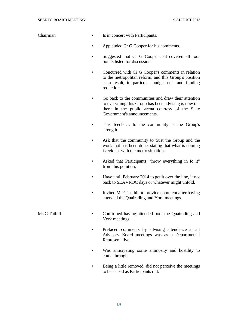- Chairman Is in concert with Participants.
	- Applauded Cr G Cooper for his comments.
	- Suggested that Cr G Cooper had covered all four points listed for discussion.
	- Concurred with Cr G Cooper's comments in relation to the metropolitan reform, and this Group's position as a result, in particular budget cuts and funding reduction.
	- Go back to the communities and draw their attention to everything this Group has been advising is now out there in the public arena courtesy of the State Government's announcements.
	- This feedback to the community is the Group's strength.
	- Ask that the community to trust the Group and the work that has been done, stating that what is coming is evident with the metro situation.
	- Asked that Participants "throw everything in to it" from this point on.
	- Have until February 2014 to get it over the line, if not back to SEAVROC days or whatever might unfold.
	- Invited Ms C Tuthill to provide comment after having attended the Quairading and York meetings.
- 
- Ms C Tuthill Confirmed having attended both the Quairading and York meetings.
	- Prefaced comments by advising attendance at all Advisory Board meetings was as a Departmental Representative.
	- Was anticipating some animosity and hostility to come through.
	- Being a little removed, did not perceive the meetings to be as bad as Participants did.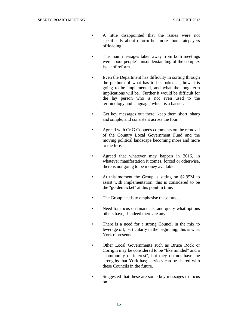- A little disappointed that the issues were not specifically about reform but more about ratepayers offloading
- The main messages taken away from both meetings were about people's misunderstanding of the complex issue of reform.
- Even the Department has difficulty in sorting through the plethora of what has to be looked at, how it is going to be implemented, and what the long term implications will be. Further it would be difficult for the lay person who is not even used to the terminology and language, which is a barrier.
- Get key messages out there; keep them short, sharp and simple, and consistent across the four.
- Agreed with Cr G Cooper's comments on the removal of the Country Local Government Fund and the moving political landscape becoming more and more to the fore.
- Agreed that whatever may happen in 2016, in whatever manifestation it comes, forced or otherwise, there is not going to be money available.
- At this moment the Group is sitting on \$2.95M to assist with implementation; this is considered to be the "golden ticket" at this point in time.
- The Group needs to emphasise these funds.
- Need for focus on financials, and query what options others have, if indeed there are any.
- There is a need for a strong Council in the mix to leverage off, particularly in the beginning, this is what York represents.
- Other Local Governments such as Bruce Rock or Corrigin may be considered to be "like minded" and a "community of interest", but they do not have the strengths that York has; services can be shared with these Councils in the future.
- Suggested that these are some key messages to focus on.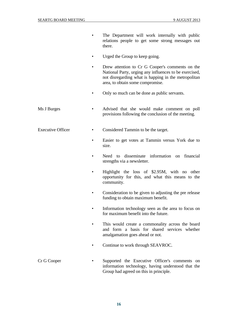- The Department will work internally with public relations people to get some strong messages out there.
- Urged the Group to keep going.
- Drew attention to Cr G Cooper's comments on the National Party, urging any influences to be exercised, not disregarding what is happing in the metropolitan area, to obtain some compromise.
- Only so much can be done as public servants.
- Ms J Burges Advised that she would make comment on poll provisions following the conclusion of the meeting.
- Executive Officer Considered Tammin to be the target.
	- Easier to get votes at Tammin versus York due to size.
	- Need to disseminate information on financial strengths via a newsletter.
	- Highlight the loss of \$2.95M, with no other opportunity for this, and what this means to the community.
	- Consideration to be given to adjusting the pre release funding to obtain maximum benefit.
	- Information technology seen as the area to focus on for maximum benefit into the future.
	- This would create a commonality across the board and form a basis for shared services whether amalgamation goes ahead or not.
	- Continue to work through SEAVROC.
- Cr G Cooper Supported the Executive Officer's comments on information technology, having understood that the Group had agreed on this in principle.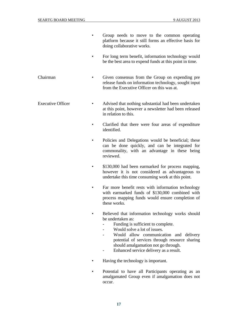- Group needs to move to the common operating platform because it still forms an effective basis for doing collaborative works.
- For long term benefit, information technology would be the best area to expend funds at this point in time.
- Chairman Given consensus from the Group on expending pre release funds on information technology, sought input from the Executive Officer on this was at.
- Executive Officer Advised that nothing substantial had been undertaken at this point, however a newsletter had been released in relation to this.
	- Clarified that there were four areas of expenditure identified.
	- Policies and Delegations would be beneficial; these can be done quickly, and can be integrated for commonality, with an advantage in these being reviewed.
	- \$130,000 had been earmarked for process mapping, however it is not considered as advantageous to undertake this time consuming work at this point.
	- Far more benefit rests with information technology with earmarked funds of \$130,000 combined with process mapping funds would ensure completion of these works.
	- Believed that information technology works should be undertaken as:
		- Funding is sufficient to complete.
		- Would solve a lot of issues.
		- Would allow communication and delivery potential of services through resource sharing should amalgamation not go through.
		- Enhanced service delivery as a result.
	- Having the technology is important.
	- Potential to have all Participants operating as an amalgamated Group even if amalgamation does not occur.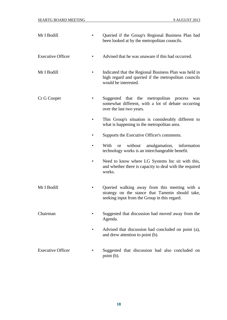| Mr I Bodill              | Queried if the Group's Regional Business Plan had<br>been looked at by the metropolitan councils.                                                |
|--------------------------|--------------------------------------------------------------------------------------------------------------------------------------------------|
| <b>Executive Officer</b> | Advised that he was unaware if this had occurred.                                                                                                |
| Mr I Bodill              | Indicated that the Regional Business Plan was held in<br>high regard and queried if the metropolitan councils<br>would be interested.            |
| Cr G Cooper              | Suggested that the metropolitan process<br>was<br>somewhat different, with a lot of debate occurring<br>over the last two years.                 |
|                          | This Group's situation is considerably different to<br>what is happening in the metropolitan area.                                               |
|                          | Supports the Executive Officer's comments.                                                                                                       |
|                          | With<br>without<br>amalgamation, information<br><b>or</b><br>technology works is an interchangeable benefit.                                     |
|                          | Need to know where LG Systems Inc sit with this,<br>and whether there is capacity to deal with the required<br>works.                            |
| Mr I Bodill              | Queried walking away from this meeting with a<br>strategy on the stance that Tammin should take,<br>seeking input from the Group in this regard. |
| Chairman                 | Suggested that discussion had moved away from the<br>Agenda.                                                                                     |
|                          | Advised that discussion had concluded on point (a),<br>and drew attention to point (b).                                                          |
| <b>Executive Officer</b> | Suggested that discussion had also concluded on<br>point (b).                                                                                    |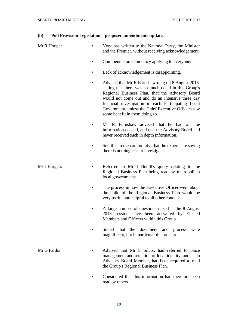## **(b) Poll Provision Legislation – proposed amendments update.**

| Mr R Hooper  | York has written to the National Party, the Minister<br>and the Premier, without receiving acknowledgement.                                                                                                                                                                                                                                                       |
|--------------|-------------------------------------------------------------------------------------------------------------------------------------------------------------------------------------------------------------------------------------------------------------------------------------------------------------------------------------------------------------------|
|              | Commented on democracy applying to everyone.                                                                                                                                                                                                                                                                                                                      |
|              | Lack of acknowledgement is disappointing.                                                                                                                                                                                                                                                                                                                         |
|              | Advised that Mr R Earnshaw rang on 8 August 2013,<br>stating that there was so much detail in this Group's<br>Regional Business Plan, that the Advisory Board<br>would not come out and do an intensive three day<br>financial investigation in each Participating Local<br>Government, unless the Chief Executive Officers saw<br>some benefit in them doing so. |
|              | Mr R Earnshaw advised that he had all the<br>information needed, and that the Advisory Board had<br>never received such in depth information.                                                                                                                                                                                                                     |
|              | Sell this to the community, that the experts are saying<br>there is nothing else to investigate.                                                                                                                                                                                                                                                                  |
| Ms J Burgess | Referred to Mr I Bodill's query relating to the<br>Regional Business Plan being read by metropolitan<br>local governments.                                                                                                                                                                                                                                        |
|              | The process in how the Executive Officer went about<br>the build of the Regional Business Plan would be<br>very useful and helpful to all other councils.                                                                                                                                                                                                         |
|              | A large number of questions raised at the 8 August<br>2013 session have been answered by Elected<br>Members and Officers within this Group.                                                                                                                                                                                                                       |
|              | that the<br>document and<br><b>Stated</b><br>process<br>were<br>magnificent, but in particular the process.                                                                                                                                                                                                                                                       |
| Mr G Fardon  | Advised that Mr S Silcox had referred to place<br>management and retention of local identity, and as an<br>Advisory Board Member, had been required to read<br>the Group's Regional Business Plan.                                                                                                                                                                |
|              | Considered that this information had therefore been                                                                                                                                                                                                                                                                                                               |

 • Considered that this information had therefore been read by others.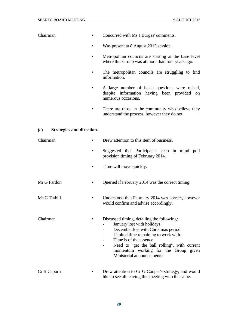| Chairman                                | $\bullet$ | Concurred with Ms J Burges' comments.                                                                                                                                                                                                                                                                      |
|-----------------------------------------|-----------|------------------------------------------------------------------------------------------------------------------------------------------------------------------------------------------------------------------------------------------------------------------------------------------------------------|
|                                         |           | Was present at 8 August 2013 session.                                                                                                                                                                                                                                                                      |
|                                         |           | Metropolitan councils are starting at the base level<br>where this Group was at more than four years ago.                                                                                                                                                                                                  |
|                                         |           | The metropolitan councils are struggling to find<br>information.                                                                                                                                                                                                                                           |
|                                         |           | A large number of basic questions were raised,<br>despite information having been provided on<br>numerous occasions.                                                                                                                                                                                       |
|                                         |           | There are those in the community who believe they<br>understand the process, however they do not.                                                                                                                                                                                                          |
| <b>Strategies and direction.</b><br>(c) |           |                                                                                                                                                                                                                                                                                                            |
| Chairman                                |           | Drew attention to this item of business.                                                                                                                                                                                                                                                                   |
|                                         |           | Suggested that Participants keep in mind poll<br>provision timing of February 2014.                                                                                                                                                                                                                        |
|                                         |           | Time will move quickly.                                                                                                                                                                                                                                                                                    |
| Mr G Fardon                             |           | Queried if February 2014 was the correct timing.                                                                                                                                                                                                                                                           |
| Ms C Tuthill                            |           | Understood that February 2014 was correct, however<br>would confirm and advise accordingly.                                                                                                                                                                                                                |
| Chairman                                |           | Discussed timing, detailing the following:<br>January lost with holidays.<br>December lost with Christmas period.<br>Limited time remaining to work with.<br>Time is of the essence.<br>Need to "get the ball rolling", with current<br>momentum working for the Group given<br>Ministerial announcements. |
| Cr B Caporn                             |           | Drew attention to Cr G Cooper's strategy, and would<br>like to see all leaving this meeting with the same.                                                                                                                                                                                                 |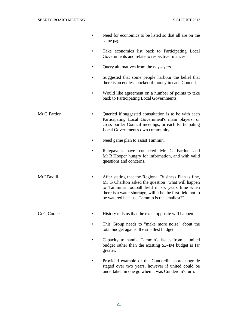|             | Need for economics to be listed so that all are on the<br>same page.                                                                                                                                                                                                              |
|-------------|-----------------------------------------------------------------------------------------------------------------------------------------------------------------------------------------------------------------------------------------------------------------------------------|
|             | Take economics list back to Participating Local<br>Governments and relate to respective finances.                                                                                                                                                                                 |
|             | Query alternatives from the naysayers.                                                                                                                                                                                                                                            |
|             | Suggested that some people harbour the belief that<br>there is an endless bucket of money in each Council.                                                                                                                                                                        |
|             | Would like agreement on a number of points to take<br>back to Participating Local Governments.                                                                                                                                                                                    |
| Mr G Fardon | Queried if suggested consultation is to be with each<br>Participating Local Government's main players, or<br>cross border Council meetings, or each Participating<br>Local Government's own community.                                                                            |
|             | Need game plan to assist Tammin.                                                                                                                                                                                                                                                  |
|             | Ratepayers have contacted Mr G Fardon and<br>Mr R Hooper hungry for information, and with valid<br>questions and concerns.                                                                                                                                                        |
| Mr I Bodill | After stating that the Regional Business Plan is fine,<br>Mr G Charlton asked the question "what will happen<br>to Tammin's football field in six years time when<br>there is a water shortage, will it be the first field not to<br>be watered because Tammin is the smallest?". |
| Cr G Cooper | History tells us that the exact opposite will happen.                                                                                                                                                                                                                             |
|             | This Group needs to "make more noise" about the<br>total budget against the smallest budget.                                                                                                                                                                                      |
|             | Capacity to handle Tammin's issues from a united<br>budget rather than the existing \$3-4M budget is far<br>greater.                                                                                                                                                              |

• Provided example of the Cunderdin sports upgrade staged over two years, however if united could be undertaken in one go when it was Cunderdin's turn.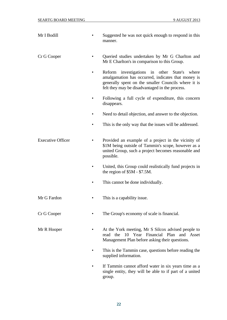| Mr I Bodill              |           | Suggested he was not quick enough to respond in this<br>manner.                                                                                                                                                   |
|--------------------------|-----------|-------------------------------------------------------------------------------------------------------------------------------------------------------------------------------------------------------------------|
| Cr G Cooper              |           | Queried studies undertaken by Mr G Charlton and<br>Mr E Charlton's in comparison to this Group.                                                                                                                   |
|                          | ٠         | investigations in other State's<br>Reform<br>where<br>amalgamation has occurred, indicates that money is<br>generally spent on the smaller Councils where it is<br>felt they may be disadvantaged in the process. |
|                          |           | Following a full cycle of expenditure, this concern<br>disappears.                                                                                                                                                |
|                          |           | Need to detail objection, and answer to the objection.                                                                                                                                                            |
|                          | $\bullet$ | This is the only way that the issues will be addressed.                                                                                                                                                           |
| <b>Executive Officer</b> |           | Provided an example of a project in the vicinity of<br>\$1M being outside of Tammin's scope, however as a<br>united Group, such a project becomes reasonable and<br>possible.                                     |
|                          |           | United, this Group could realistically fund projects in<br>the region of $$5M - $7.5M$ .                                                                                                                          |
|                          |           | This cannot be done individually.                                                                                                                                                                                 |
| Mr G Fardon              |           | This is a capability issue.                                                                                                                                                                                       |
| Cr G Cooper              |           | The Group's economy of scale is financial.                                                                                                                                                                        |
| Mr R Hooper              |           | At the York meeting, Mr S Silcox advised people to<br>10 Year Financial Plan and Asset<br>read the<br>Management Plan before asking their questions.                                                              |
|                          |           | This is the Tammin case, questions before reading the<br>supplied information.                                                                                                                                    |
|                          |           | If Tammin cannot afford water in six years time as a<br>single entity, they will be able to if part of a united<br>group.                                                                                         |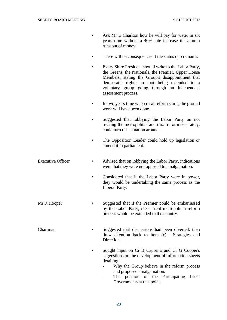- Ask Mr E Charlton how he will pay for water in six years time without a 40% rate increase if Tammin runs out of money.
	- There will be consequences if the status quo remains.
	- Every Shire President should write to the Labor Party, the Greens, the Nationals, the Premier, Upper House Members, stating the Group's disappointment that democratic rights are not being extended to a voluntary group going through an independent assessment process.
	- In two years time when rural reform starts, the ground work will have been done.
	- Suggested that lobbying the Labor Party on not treating the metropolitan and rural reform separately, could turn this situation around.
	- The Opposition Leader could hold up legislation or amend it in parliament.
- Executive Officer Advised that on lobbying the Labor Party, indications were that they were not opposed to amalgamation.
	- Considered that if the Labor Party were in power, they would be undertaking the same process as the Liberal Party.
- Mr R Hooper Suggested that if the Premier could be embarrassed by the Labor Party, the current metropolitan reform process would be extended to the country.
- Chairman Suggested that discussions had been diverted, then drew attention back to Item (c) -–Strategies and Direction.
	- Sought input on Cr B Caporn's and Cr G Cooper's suggestions on the development of information sheets detailing:
		- Why the Group believe in the reform process and proposed amalgamation.
		- The position of the Participating Local Governments at this point.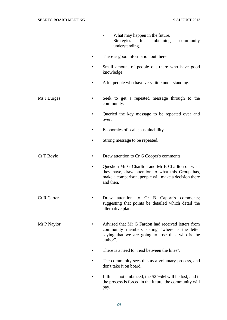|                 | What may happen in the future.<br>Strategies<br>for<br>obtaining<br>community<br>understanding.                                                                            |
|-----------------|----------------------------------------------------------------------------------------------------------------------------------------------------------------------------|
|                 | There is good information out there.                                                                                                                                       |
|                 | Small amount of people out there who have good<br>knowledge.                                                                                                               |
|                 | A lot people who have very little understanding.                                                                                                                           |
| Ms J Burges     | Seek to get a repeated message through to the<br>community.                                                                                                                |
|                 | Queried the key message to be repeated over and<br>over.                                                                                                                   |
|                 | Economies of scale; sustainability.                                                                                                                                        |
|                 | Strong message to be repeated.                                                                                                                                             |
| Cr T Boyle<br>٠ | Drew attention to Cr G Cooper's comments.                                                                                                                                  |
|                 | Question Mr G Charlton and Mr E Charlton on what<br>they have, draw attention to what this Group has,<br>make a comparison, people will make a decision there<br>and then. |
| Cr R Carter     | Drew attention to Cr B Caporn's comments;<br>suggesting that points be detailed which detail the<br>alternative plan.                                                      |
| Mr P Naylor     | Advised that Mr G Fardon had received letters from<br>community members stating "where is the letter<br>saying that we are going to lose this; who is the<br>author".      |
|                 | There is a need to "read between the lines".                                                                                                                               |
|                 | The community sees this as a voluntary process, and<br>don't take it on board.                                                                                             |
|                 | If this is not embraced, the \$2.95M will be lost, and if<br>the process is forced in the future, the community will                                                       |

**24** 

pay.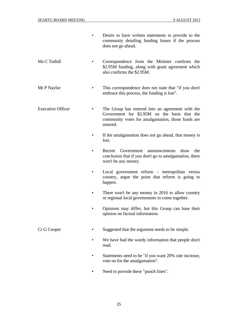- Desire to have written statements to provide to the community detailing funding losses if the process does not go ahead.
- Ms C Tuthill Correspondence from the Minister confirms the \$2.95M funding, along with grant agreement which also confirms the \$2.95M.
- Mr P Naylor This correspondence does not state that "if you don't embrace this process, the funding is lost".
- Executive Officer The Group has entered into an agreement with the Government for \$2.95M on the basis that the community votes for amalgamation, those funds are assured.
	- If the amalgamation does not go ahead, that money is lost.
	- Recent Government announcements draw the conclusion that if you don't go to amalgamation, there won't be any money.
	- Local government reform metropolitan versus country, argue the point that reform is going to happen.
	- There won't be any money in 2016 to allow country or regional local governments to come together.
	- Opinions may differ, but this Group can base their opinion on factual information.

- Cr G Cooper Suggested that the argument needs to be simple.
	- We have had the wordy information that people don't read.
	- Statements need to be "if you want 20% rate increase, vote no for the amalgamation".
	- Need to provide these "punch lines".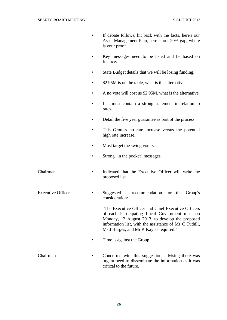• If debate follows, hit back with the facts, here's our

|                          | Asset Management Plan, here is our 20% gap, where<br>is your proof.                                                                                                                                                                                            |
|--------------------------|----------------------------------------------------------------------------------------------------------------------------------------------------------------------------------------------------------------------------------------------------------------|
|                          | Key messages need to be listed and be based on<br>finance.                                                                                                                                                                                                     |
|                          | State Budget details that we will be losing funding.                                                                                                                                                                                                           |
|                          | \$2.95M is on the table, what is the alternative.                                                                                                                                                                                                              |
|                          | A no vote will cost us \$2.95M, what is the alternative.                                                                                                                                                                                                       |
|                          | List must contain a strong statement in relation to<br>rates.                                                                                                                                                                                                  |
|                          | Detail the five year guarantee as part of the process.                                                                                                                                                                                                         |
|                          | This Group's no rate increase versus the potential<br>high rate increase.                                                                                                                                                                                      |
|                          | Must target the swing voters.                                                                                                                                                                                                                                  |
|                          | Strong "in the pocket" messages.                                                                                                                                                                                                                               |
| Chairman                 | Indicated that the Executive Officer will write the<br>proposed list.                                                                                                                                                                                          |
| <b>Executive Officer</b> | Suggested a recommendation for the Group's<br>consideration:                                                                                                                                                                                                   |
|                          | "The Executive Officer and Chief Executive Officers"<br>of each Participating Local Government meet on<br>Monday, 12 August 2013, to develop the proposed<br>information list, with the assistance of Ms C Tuthill,<br>Ms J Burges, and Mr K Kay as required." |
|                          | Time is against the Group.                                                                                                                                                                                                                                     |
| Chairman                 | Concurred with this suggestion, advising there was<br>urgent need to disseminate the information as it was<br>critical to the future.                                                                                                                          |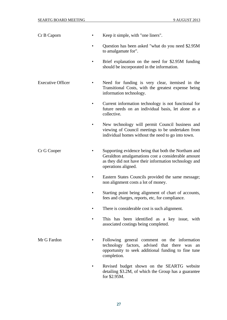| Cr B Caporn              | Keep it simple, with "one liners".                                                                                                                                                        |
|--------------------------|-------------------------------------------------------------------------------------------------------------------------------------------------------------------------------------------|
|                          | Question has been asked "what do you need \$2.95M<br>to amalgamate for".                                                                                                                  |
|                          | Brief explanation on the need for \$2.95M funding<br>should be incorporated in the information.                                                                                           |
| <b>Executive Officer</b> | Need for funding is very clear, itemised in the<br>Transitional Costs, with the greatest expense being<br>information technology.                                                         |
|                          | Current information technology is not functional for<br>future needs on an individual basis, let alone as a<br>collective.                                                                |
|                          | New technology will permit Council business and<br>viewing of Council meetings to be undertaken from<br>individual homes without the need to go into town.                                |
| Cr G Cooper              | Supporting evidence being that both the Northam and<br>Geraldton amalgamations cost a considerable amount<br>as they did not have their information technology and<br>operations aligned. |
|                          | Eastern States Councils provided the same message;<br>non alignment costs a lot of money.                                                                                                 |
|                          | Starting point being alignment of chart of accounts,<br>fees and charges, reports, etc, for compliance.                                                                                   |
|                          | There is considerable cost is such alignment.                                                                                                                                             |
|                          | This has been identified as a key issue, with<br>associated costings being completed.                                                                                                     |
| Mr G Fardon              | Following general comment on the information<br>technology factors, advised that there was an<br>opportunity to seek additional funding to fine tune<br>completion.                       |
|                          | Revised budget shown on the SEARTG website<br>detailing \$3.2M, of which the Group has a guarantee<br>for \$2.95M.                                                                        |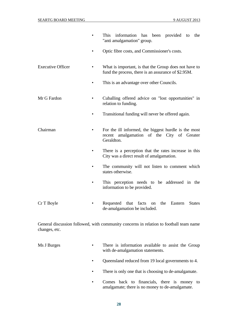|                          | information has been provided<br>This<br>the<br>to<br>"anti amalgamation" group.                                    |
|--------------------------|---------------------------------------------------------------------------------------------------------------------|
|                          | Optic fibre costs, and Commissioner's costs.                                                                        |
| <b>Executive Officer</b> | What is important, is that the Group does not have to<br>fund the process, there is an assurance of \$2.95M.        |
|                          | This is an advantage over other Councils.                                                                           |
| Mr G Fardon              | Cuballing offered advice on "lost opportunities" in<br>relation to funding.                                         |
|                          | Transitional funding will never be offered again.                                                                   |
| Chairman                 | For the ill informed, the biggest hurdle is the most<br>amalgamation of the City of Greater<br>recent<br>Geraldton. |
|                          | There is a perception that the rates increase in this<br>City was a direct result of amalgamation.                  |
|                          | The community will not listen to comment which<br>states otherwise.                                                 |
|                          | This perception needs to be addressed in the<br>information to be provided.                                         |
| Cr T Boyle               | Requested that facts<br>the<br><b>States</b><br>Eastern<br>on<br>de-amalgamation be included.                       |

General discussion followed, with community concerns in relation to football team name changes, etc.

- Ms J Burges There is information available to assist the Group with de-amalgamation statements.
	- Queensland reduced from 19 local governments to 4.
	- There is only one that is choosing to de-amalgamate.
	- Comes back to financials, there is money to amalgamate; there is no money to de-amalgamate.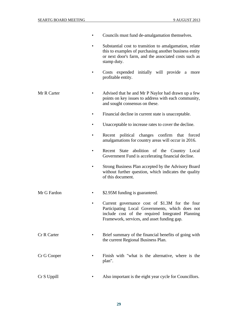- Councils must fund de-amalgamation themselves.
	- Substantial cost to transition to amalgamation, relate this to examples of purchasing another business entity or next door's farm, and the associated costs such as stamp duty.
- Costs expended initially will provide a more profitable entity.
- Mr R Carter Advised that he and Mr P Naylor had drawn up a few points on key issues to address with each community, and sought consensus on these.
	- Financial decline in current state is unacceptable.
	- Unacceptable to increase rates to cover the decline.
	- Recent political changes confirm that forced amalgamations for country areas will occur in 2016.
	- Recent State abolition of the Country Local Government Fund is accelerating financial decline.
	- Strong Business Plan accepted by the Advisory Board without further question, which indicates the quality of this document.
- Mr G Fardon \$2.95M funding is guaranteed.
	- Current governance cost of \$1.3M for the four Participating Local Governments, which does not include cost of the required Integrated Planning Framework, services, and asset funding gap.
- Cr R Carter Brief summary of the financial benefits of going with the current Regional Business Plan.
- Cr G Cooper Finish with "what is the alternative, where is the plan".
- Cr S Uppill Also important is the eight year cycle for Councillors.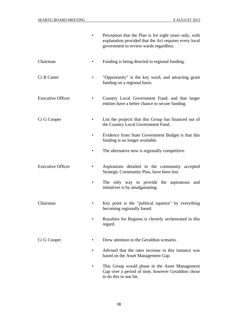|                          | Perception that the Plan is for eight years only, with<br>explanation provided that the Act requires every local<br>government to review wards regardless. |
|--------------------------|------------------------------------------------------------------------------------------------------------------------------------------------------------|
| Chairman                 | Funding is being directed to regional funding.                                                                                                             |
| <b>Cr R Carter</b>       | "Opportunity" is the key word, and attracting grant<br>funding on a regional basis.                                                                        |
| <b>Executive Officer</b> | Country Local Government Fund; and that larger<br>entities have a better chance to secure funding.                                                         |
| Cr G Cooper              | List the projects that this Group has financed out of<br>the Country Local Government Fund.                                                                |
|                          | Evidence from State Government Budget is that this<br>funding is no longer available.                                                                      |
|                          | The alternative now is regionally competitive.                                                                                                             |
| <b>Executive Officer</b> | Aspirations detailed in the community accepted<br>Strategic Community Plan, have been lost.                                                                |
|                          | The only way to provide the aspirations and<br>initiatives is by amalgamating.                                                                             |
| Chairman                 | Key point is the "political squeeze" by everything<br>becoming regionally based.                                                                           |
|                          | Royalties for Regions is cleverly orchestrated in this<br>regard.                                                                                          |
| Cr G Cooper              | Drew attention to the Geraldton scenario.                                                                                                                  |
|                          | Advised that the rates increase in this instance was<br>based on the Asset Management Gap.                                                                 |
|                          | This Group would phase in the Asset Management<br>Gap over a period of time, however Geraldton chose<br>to do this in one hit.                             |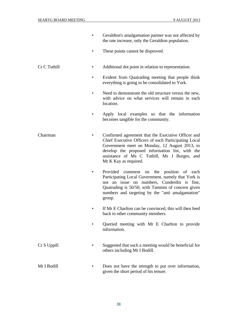- Geraldton's amalgamation partner was not affected by the rate increase, only the Geraldton population.
- These points cannot be disproved.
- Cr C Tuthill Additional dot point in relation to representation.
	- Evident from Quairading meeting that people think everything is going to be consolidated to York.
	- Need to demonstrate the old structure versus the new, with advice on what services will remain in each location.
	- Apply local examples so that the information becomes tangible for the community.
- Chairman Confirmed agreement that the Executive Officer and Chief Executive Officers of each Participating Local Government meet on Monday, 12 August 2013, to develop the proposed information list, with the assistance of Ms C Tuthill, Ms J Burges, and Mr K Kay as required.
	- Provided comment on the position of each Participating Local Government, namely that York is not an issue on numbers, Cunderdin is fine, Quairading is 50/50, with Tammin of concern given numbers and targeting by the "anti amalgamation" group.
	- If Mr E Charlton can be convinced, this will then feed back to other community members.
	- Queried meeting with Mr E Charlton to provide information.
- Cr S Uppill Suggested that such a meeting would be beneficial for others including Mr I Bodill.
- Mr I Bodill Does not have the strength to put over information, given the short period of his tenure.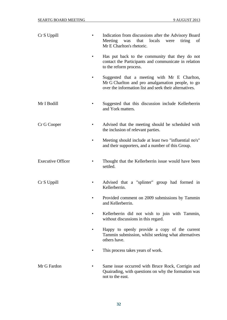| Cr S Uppill              | Indication from discussions after the Advisory Board<br>tiring<br>Meeting<br>that<br>locals<br>were<br>was<br>of<br>Mr E Charlton's rhetoric.              |
|--------------------------|------------------------------------------------------------------------------------------------------------------------------------------------------------|
|                          | Has put back to the community that they do not<br>contact the Participants and communicate in relation<br>to the reform process.                           |
|                          | Suggested that a meeting with Mr E Charlton,<br>Mr G Charlton and pro amalgamation people, to go<br>over the information list and seek their alternatives. |
| Mr I Bodill              | Suggested that this discussion include Kellerberrin<br>and York matters.                                                                                   |
| Cr G Cooper              | Advised that the meeting should be scheduled with<br>the inclusion of relevant parties.                                                                    |
|                          | Meeting should include at least two "influential no's"<br>and their supporters, and a number of this Group.                                                |
| <b>Executive Officer</b> | Thought that the Kellerberrin issue would have been<br>settled.                                                                                            |
| Cr S Uppill              | Advised that a "splinter" group had formed in<br>Kellerberrin.                                                                                             |
|                          | Provided comment on 2009 submissions by Tammin<br>and Kellerberrin                                                                                         |
|                          | Kellerberrin did not wish to join with Tammin,<br>without discussions in this regard.                                                                      |
|                          | Happy to openly provide a copy of the current<br>Tammin submission, whilst seeking what alternatives<br>others have.                                       |
|                          | This process takes years of work.                                                                                                                          |
| Mr G Fardon              | Same issue occurred with Bruce Rock, Corrigin and<br>Quairading, with questions on why the formation was<br>not to the east.                               |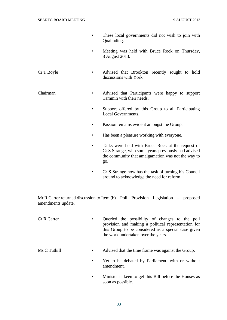- These local governments did not wish to join with Quairading.
- Meeting was held with Bruce Rock on Thursday, 8 August 2013.
- Cr T Boyle Advised that Brookton recently sought to hold discussions with York.
- Chairman Advised that Participants were happy to support Tammin with their needs.
	- Support offered by this Group to all Participating Local Governments.
	- Passion remains evident amongst the Group.
	- Has been a pleasure working with everyone.
	- Talks were held with Bruce Rock at the request of Cr S Strange, who some years previously had advised the community that amalgamation was not the way to go.
	- Cr S Strange now has the task of turning his Council around to acknowledge the need for reform.

Mr R Carter returned discussion to Item (b) Poll Provision Legislation – proposed amendments update.

- Cr R Carter Queried the possibility of changes to the poll provision and making a political representation for this Group to be considered as a special case given the work undertaken over the years.
- Ms C Tuthill Advised that the time frame was against the Group.
	- Yet to be debated by Parliament, with or without amendment.
	- Minister is keen to get this Bill before the Houses as soon as possible.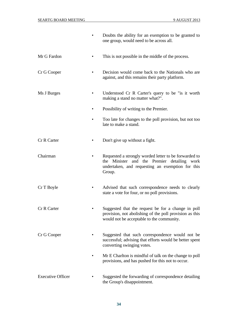|                          | Doubts the ability for an exemption to be granted to<br>one group, would need to be across all.                                                                       |  |
|--------------------------|-----------------------------------------------------------------------------------------------------------------------------------------------------------------------|--|
| Mr G Fardon              | This is not possible in the middle of the process.                                                                                                                    |  |
| Cr G Cooper              | Decision would come back to the Nationals who are<br>against, and this remains their party platform.                                                                  |  |
| Ms J Burges              | Understood Cr R Carter's query to be "is it worth<br>making a stand no matter what?".                                                                                 |  |
|                          | Possibility of writing to the Premier.                                                                                                                                |  |
|                          | Too late for changes to the poll provision, but not too<br>late to make a stand.                                                                                      |  |
| Cr R Carter              | Don't give up without a fight.                                                                                                                                        |  |
| Chairman                 | Requested a strongly worded letter to be forwarded to<br>and the Premier detailing work<br>the Minister<br>undertaken, and requesting an exemption for this<br>Group. |  |
| Cr T Boyle               | Advised that such correspondence needs to clearly<br>state a vote for four, or no poll provisions.                                                                    |  |
| Cr R Carter              | Suggested that the request be for a change in poll<br>provision, not abolishing of the poll provision as this<br>would not be acceptable to the community.            |  |
| Cr G Cooper              | Suggested that such correspondence would not be<br>successful; advising that efforts would be better spent<br>converting swinging votes.                              |  |
|                          | Mr E Charlton is mindful of talk on the change to poll<br>provisions, and has pushed for this not to occur.                                                           |  |
| <b>Executive Officer</b> | Suggested the forwarding of correspondence detailing<br>the Group's disappointment.                                                                                   |  |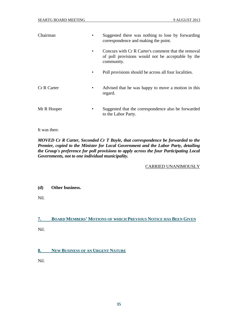| Chairman    | Suggested there was nothing to lose by forwarding<br>correspondence and making the point.                              |
|-------------|------------------------------------------------------------------------------------------------------------------------|
|             | Concurs with Cr R Carter's comment that the removal<br>of poll provisions would not be acceptable by the<br>community. |
|             | Poll provisions should be across all four localities.                                                                  |
| Cr R Carter | Advised that he was happy to move a motion in this<br>regard.                                                          |
| Mr R Hooper | Suggested that the correspondence also be forwarded<br>to the Labor Party.                                             |

It was then:

*MOVED Cr R Carter, Seconded Cr T Boyle, that correspondence be forwarded to the Premier, copied to the Minister for Local Government and the Labor Party, detailing the Group's preference for poll provisions to apply across the four Participating Local Governments, not to one individual municipality.* 

CARRIED UNANIMOUSLY

#### **(d) Other business.**

Nil.

#### **7. BOARD MEMBERS' MOTIONS OF WHICH PREVIOUS NOTICE HAS BEEN GIVEN**

Nil.

#### **8. NEW BUSINESS OF AN URGENT NATURE**

Nil.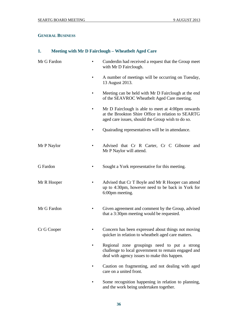#### **GENERAL BUSINESS**

# **1. Meeting with Mr D Fairclough – Wheatbelt Aged Care**

| Mr G Fardon | Cunderdin had received a request that the Group meet<br>٠<br>with Mr D Fairclough.                                                                           |
|-------------|--------------------------------------------------------------------------------------------------------------------------------------------------------------|
|             | A number of meetings will be occurring on Tuesday,<br>$\bullet$<br>13 August 2013.                                                                           |
|             | Meeting can be held with Mr D Fairclough at the end<br>٠<br>of the SEAVROC Wheatbelt Aged Care meeting.                                                      |
|             | Mr D Fairclough is able to meet at 4:00pm onwards<br>at the Brookton Shire Office in relation to SEARTG<br>aged care issues, should the Group wish to do so. |
|             | Quairading representatives will be in attendance.                                                                                                            |
| Mr P Naylor | Advised that Cr R Carter, Cr C Gibsone and<br>٠<br>Mr P Naylor will attend.                                                                                  |
| G Fardon    | Sought a York representative for this meeting.                                                                                                               |
| Mr R Hooper | Advised that Cr T Boyle and Mr R Hooper can attend<br>up to 4:30pm, however need to be back in York for<br>6:00pm meeting.                                   |
| Mr G Fardon | Given agreement and comment by the Group, advised<br>that a 3:30pm meeting would be requested.                                                               |
| Cr G Cooper | Concern has been expressed about things not moving<br>quicker in relation to wheatbelt aged care matters.                                                    |
|             | Regional zone groupings need to put a strong<br>challenge to local government to remain engaged and<br>deal with agency issues to make this happen.          |
|             | Caution on fragmenting, and not dealing with aged<br>care on a united front.                                                                                 |
|             | Some recognition happening in relation to planning,<br>and the work being undertaken together.                                                               |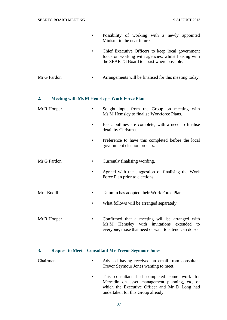- Possibility of working with a newly appointed Minister in the near future.
- Chief Executive Officers to keep local government focus on working with agencies, whilst liaising with the SEARTG Board to assist where possible.
- Mr G Fardon Arrangements will be finalised for this meeting today.

#### **2. Meeting with Ms M Hemsley – Work Force Plan**

| Mr R Hooper | Sought input from the Group on meeting with<br>Ms M Hemsley to finalise Workforce Plans.                                                                   |
|-------------|------------------------------------------------------------------------------------------------------------------------------------------------------------|
|             | Basic outlines are complete, with a need to finalise<br>detail by Christmas.                                                                               |
|             | Preference to have this completed before the local<br>government election process.                                                                         |
| Mr G Fardon | Currently finalising wording.                                                                                                                              |
|             | Agreed with the suggestion of finalising the Work<br>Force Plan prior to elections.                                                                        |
| Mr I Bodill | Tammin has adopted their Work Force Plan.                                                                                                                  |
|             | What follows will be arranged separately.                                                                                                                  |
| Mr R Hooper | Confirmed that a meeting will be arranged with<br>٠<br>Ms M Hemsley with invitations extended to<br>everyone, those that need or want to attend can do so. |

#### **3. Request to Meet – Consultant Mr Trevor Seymour Jones**

- Chairman Advised having received an email from consultant Trevor Seymour Jones wanting to meet.
	- This consultant had completed some work for Merredin on asset management planning, etc, of which the Executive Officer and Mr D Long had undertaken for this Group already.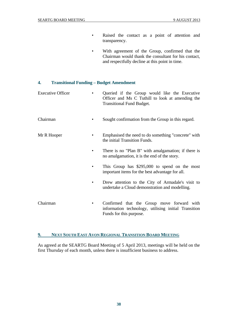- Raised the contact as a point of attention and transparency.
- With agreement of the Group, confirmed that the Chairman would thank the consultant for his contact, and respectfully decline at this point in time.

#### **4. Transitional Funding – Budget Amendment**

| <b>Executive Officer</b> | Queried if the Group would like the Executive<br>Officer and Ms C Tuthill to look at amending the<br><b>Transitional Fund Budget.</b> |
|--------------------------|---------------------------------------------------------------------------------------------------------------------------------------|
| Chairman                 | Sought confirmation from the Group in this regard.                                                                                    |
| Mr R Hooper              | Emphasised the need to do something "concrete" with<br>the initial Transition Funds.                                                  |
|                          | There is no "Plan B" with amalgamation; if there is<br>no amalgamation, it is the end of the story.                                   |
|                          | This Group has $$295,000$ to spend on the most<br>important items for the best advantage for all.                                     |
|                          | Drew attention to the City of Armadale's visit to<br>undertake a Cloud demonstration and modelling.                                   |
| Chairman                 | Confirmed that the Group move forward with<br>٠<br>information technology, utilising initial Transition<br>Funds for this purpose.    |

#### **9. NEXT SOUTH EAST AVON REGIONAL TRANSITION BOARD MEETING**

As agreed at the SEARTG Board Meeting of 5 April 2013, meetings will be held on the first Thursday of each month, unless there is insufficient business to address.